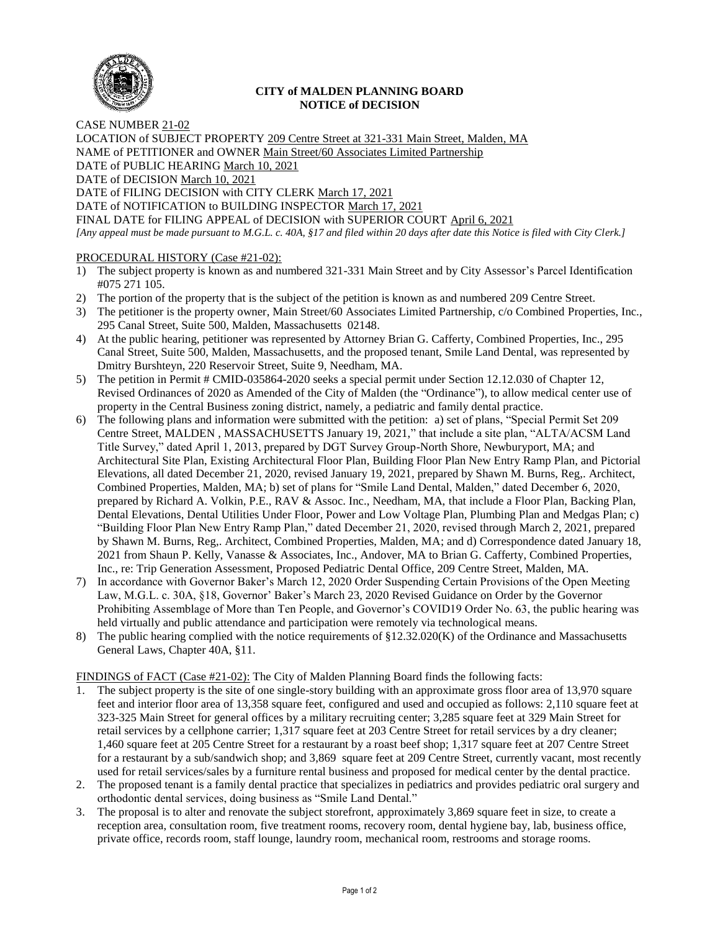

## **CITY of MALDEN PLANNING BOARD NOTICE of DECISION**

CASE NUMBER 21-02 LOCATION of SUBJECT PROPERTY 209 Centre Street at 321-331 Main Street, Malden, MA NAME of PETITIONER and OWNER Main Street/60 Associates Limited Partnership DATE of PUBLIC HEARING March 10, 2021 DATE of DECISION March 10, 2021 DATE of FILING DECISION with CITY CLERK March 17, 2021 DATE of NOTIFICATION to BUILDING INSPECTOR March 17, 2021

FINAL DATE for FILING APPEAL of DECISION with SUPERIOR COURT April 6, 2021 *[Any appeal must be made pursuant to M.G.L. c. 40A, §17 and filed within 20 days after date this Notice is filed with City Clerk.]* 

## PROCEDURAL HISTORY (Case #21-02):

- 1) The subject property is known as and numbered 321-331 Main Street and by City Assessor's Parcel Identification #075 271 105.
- 2) The portion of the property that is the subject of the petition is known as and numbered 209 Centre Street.
- 3) The petitioner is the property owner, Main Street/60 Associates Limited Partnership, c/o Combined Properties, Inc., 295 Canal Street, Suite 500, Malden, Massachusetts 02148.
- 4) At the public hearing, petitioner was represented by Attorney Brian G. Cafferty, Combined Properties, Inc., 295 Canal Street, Suite 500, Malden, Massachusetts, and the proposed tenant, Smile Land Dental, was represented by Dmitry Burshteyn, 220 Reservoir Street, Suite 9, Needham, MA.
- 5) The petition in Permit # CMID-035864-2020 seeks a special permit under Section 12.12.030 of Chapter 12, Revised Ordinances of 2020 as Amended of the City of Malden (the "Ordinance"), to allow medical center use of property in the Central Business zoning district, namely, a pediatric and family dental practice.
- 6) The following plans and information were submitted with the petition: a) set of plans, "Special Permit Set 209 Centre Street, MALDEN , MASSACHUSETTS January 19, 2021," that include a site plan, "ALTA/ACSM Land Title Survey," dated April 1, 2013, prepared by DGT Survey Group-North Shore, Newburyport, MA; and Architectural Site Plan, Existing Architectural Floor Plan, Building Floor Plan New Entry Ramp Plan, and Pictorial Elevations, all dated December 21, 2020, revised January 19, 2021, prepared by Shawn M. Burns, Reg,. Architect, Combined Properties, Malden, MA; b) set of plans for "Smile Land Dental, Malden," dated December 6, 2020, prepared by Richard A. Volkin, P.E., RAV & Assoc. Inc., Needham, MA, that include a Floor Plan, Backing Plan, Dental Elevations, Dental Utilities Under Floor, Power and Low Voltage Plan, Plumbing Plan and Medgas Plan; c) "Building Floor Plan New Entry Ramp Plan," dated December 21, 2020, revised through March 2, 2021, prepared by Shawn M. Burns, Reg,. Architect, Combined Properties, Malden, MA; and d) Correspondence dated January 18, 2021 from Shaun P. Kelly, Vanasse & Associates, Inc., Andover, MA to Brian G. Cafferty, Combined Properties, Inc., re: Trip Generation Assessment, Proposed Pediatric Dental Office, 209 Centre Street, Malden, MA.
- 7) In accordance with Governor Baker's March 12, 2020 Order Suspending Certain Provisions of the Open Meeting Law, M.G.L. c. 30A, §18, Governor' Baker's March 23, 2020 Revised Guidance on Order by the Governor Prohibiting Assemblage of More than Ten People, and Governor's COVID19 Order No. 63, the public hearing was held virtually and public attendance and participation were remotely via technological means.
- 8) The public hearing complied with the notice requirements of §12.32.020(K) of the Ordinance and Massachusetts General Laws, Chapter 40A, §11.

FINDINGS of FACT (Case #21-02): The City of Malden Planning Board finds the following facts:

- 1. The subject property is the site of one single-story building with an approximate gross floor area of 13,970 square feet and interior floor area of 13,358 square feet, configured and used and occupied as follows: 2,110 square feet at 323-325 Main Street for general offices by a military recruiting center; 3,285 square feet at 329 Main Street for retail services by a cellphone carrier; 1,317 square feet at 203 Centre Street for retail services by a dry cleaner; 1,460 square feet at 205 Centre Street for a restaurant by a roast beef shop; 1,317 square feet at 207 Centre Street for a restaurant by a sub/sandwich shop; and 3,869 square feet at 209 Centre Street, currently vacant, most recently used for retail services/sales by a furniture rental business and proposed for medical center by the dental practice.
- 2. The proposed tenant is a family dental practice that specializes in pediatrics and provides pediatric oral surgery and orthodontic dental services, doing business as "Smile Land Dental."
- 3. The proposal is to alter and renovate the subject storefront, approximately 3,869 square feet in size, to create a reception area, consultation room, five treatment rooms, recovery room, dental hygiene bay, lab, business office, private office, records room, staff lounge, laundry room, mechanical room, restrooms and storage rooms.